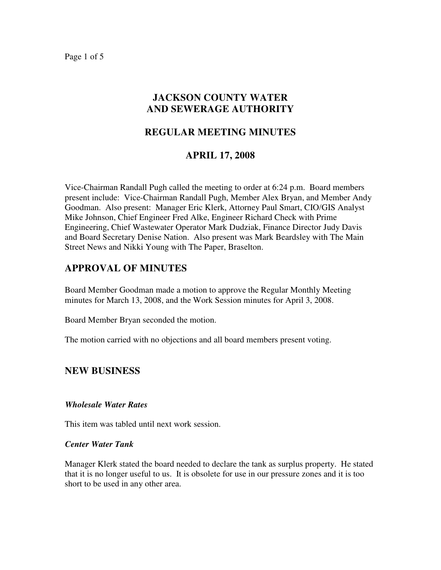Page 1 of 5

## **JACKSON COUNTY WATER AND SEWERAGE AUTHORITY**

## **REGULAR MEETING MINUTES**

### **APRIL 17, 2008**

Vice-Chairman Randall Pugh called the meeting to order at 6:24 p.m. Board members present include: Vice-Chairman Randall Pugh, Member Alex Bryan, and Member Andy Goodman. Also present: Manager Eric Klerk, Attorney Paul Smart, CIO/GIS Analyst Mike Johnson, Chief Engineer Fred Alke, Engineer Richard Check with Prime Engineering, Chief Wastewater Operator Mark Dudziak, Finance Director Judy Davis and Board Secretary Denise Nation. Also present was Mark Beardsley with The Main Street News and Nikki Young with The Paper, Braselton.

## **APPROVAL OF MINUTES**

Board Member Goodman made a motion to approve the Regular Monthly Meeting minutes for March 13, 2008, and the Work Session minutes for April 3, 2008.

Board Member Bryan seconded the motion.

The motion carried with no objections and all board members present voting.

### **NEW BUSINESS**

#### *Wholesale Water Rates*

This item was tabled until next work session.

#### *Center Water Tank*

Manager Klerk stated the board needed to declare the tank as surplus property. He stated that it is no longer useful to us. It is obsolete for use in our pressure zones and it is too short to be used in any other area.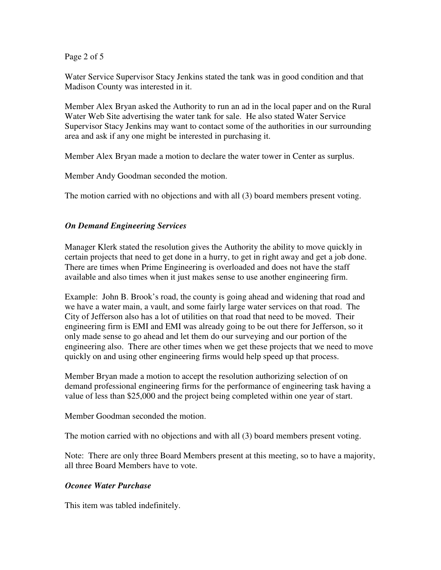Page 2 of 5

Water Service Supervisor Stacy Jenkins stated the tank was in good condition and that Madison County was interested in it.

Member Alex Bryan asked the Authority to run an ad in the local paper and on the Rural Water Web Site advertising the water tank for sale. He also stated Water Service Supervisor Stacy Jenkins may want to contact some of the authorities in our surrounding area and ask if any one might be interested in purchasing it.

Member Alex Bryan made a motion to declare the water tower in Center as surplus.

Member Andy Goodman seconded the motion.

The motion carried with no objections and with all (3) board members present voting.

### *On Demand Engineering Services*

Manager Klerk stated the resolution gives the Authority the ability to move quickly in certain projects that need to get done in a hurry, to get in right away and get a job done. There are times when Prime Engineering is overloaded and does not have the staff available and also times when it just makes sense to use another engineering firm.

Example: John B. Brook's road, the county is going ahead and widening that road and we have a water main, a vault, and some fairly large water services on that road. The City of Jefferson also has a lot of utilities on that road that need to be moved. Their engineering firm is EMI and EMI was already going to be out there for Jefferson, so it only made sense to go ahead and let them do our surveying and our portion of the engineering also. There are other times when we get these projects that we need to move quickly on and using other engineering firms would help speed up that process.

Member Bryan made a motion to accept the resolution authorizing selection of on demand professional engineering firms for the performance of engineering task having a value of less than \$25,000 and the project being completed within one year of start.

Member Goodman seconded the motion.

The motion carried with no objections and with all (3) board members present voting.

Note: There are only three Board Members present at this meeting, so to have a majority, all three Board Members have to vote.

### *Oconee Water Purchase*

This item was tabled indefinitely.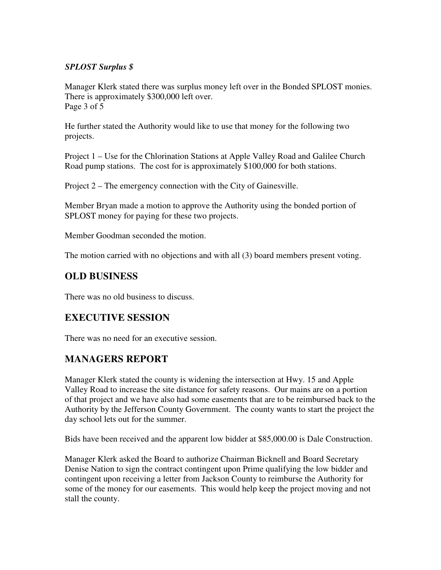### *SPLOST Surplus \$*

Manager Klerk stated there was surplus money left over in the Bonded SPLOST monies. There is approximately \$300,000 left over. Page 3 of 5

He further stated the Authority would like to use that money for the following two projects.

Project 1 – Use for the Chlorination Stations at Apple Valley Road and Galilee Church Road pump stations. The cost for is approximately \$100,000 for both stations.

Project 2 – The emergency connection with the City of Gainesville.

Member Bryan made a motion to approve the Authority using the bonded portion of SPLOST money for paying for these two projects.

Member Goodman seconded the motion.

The motion carried with no objections and with all (3) board members present voting.

# **OLD BUSINESS**

There was no old business to discuss.

# **EXECUTIVE SESSION**

There was no need for an executive session.

## **MANAGERS REPORT**

Manager Klerk stated the county is widening the intersection at Hwy. 15 and Apple Valley Road to increase the site distance for safety reasons. Our mains are on a portion of that project and we have also had some easements that are to be reimbursed back to the Authority by the Jefferson County Government. The county wants to start the project the day school lets out for the summer.

Bids have been received and the apparent low bidder at \$85,000.00 is Dale Construction.

Manager Klerk asked the Board to authorize Chairman Bicknell and Board Secretary Denise Nation to sign the contract contingent upon Prime qualifying the low bidder and contingent upon receiving a letter from Jackson County to reimburse the Authority for some of the money for our easements. This would help keep the project moving and not stall the county.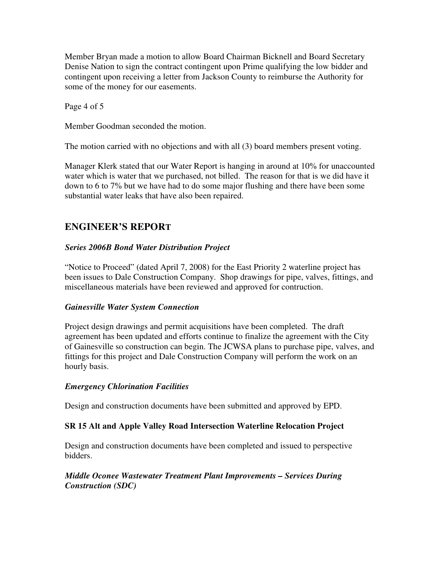Member Bryan made a motion to allow Board Chairman Bicknell and Board Secretary Denise Nation to sign the contract contingent upon Prime qualifying the low bidder and contingent upon receiving a letter from Jackson County to reimburse the Authority for some of the money for our easements.

Page 4 of 5

Member Goodman seconded the motion.

The motion carried with no objections and with all (3) board members present voting.

Manager Klerk stated that our Water Report is hanging in around at 10% for unaccounted water which is water that we purchased, not billed. The reason for that is we did have it down to 6 to 7% but we have had to do some major flushing and there have been some substantial water leaks that have also been repaired.

# **ENGINEER'S REPORT**

### *Series 2006B Bond Water Distribution Project*

"Notice to Proceed" (dated April 7, 2008) for the East Priority 2 waterline project has been issues to Dale Construction Company. Shop drawings for pipe, valves, fittings, and miscellaneous materials have been reviewed and approved for contruction.

### *Gainesville Water System Connection*

Project design drawings and permit acquisitions have been completed. The draft agreement has been updated and efforts continue to finalize the agreement with the City of Gainesville so construction can begin. The JCWSA plans to purchase pipe, valves, and fittings for this project and Dale Construction Company will perform the work on an hourly basis.

### *Emergency Chlorination Facilities*

Design and construction documents have been submitted and approved by EPD.

#### **SR 15 Alt and Apple Valley Road Intersection Waterline Relocation Project**

Design and construction documents have been completed and issued to perspective bidders.

### *Middle Oconee Wastewater Treatment Plant Improvements – Services During Construction (SDC)*